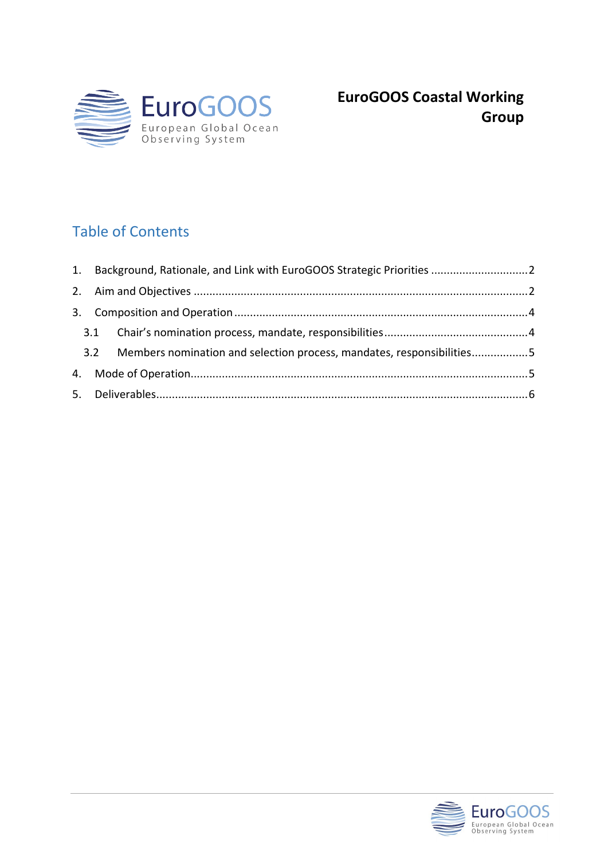

# Table of Contents

|    |     | 1. Background, Rationale, and Link with EuroGOOS Strategic Priorities  2 |  |
|----|-----|--------------------------------------------------------------------------|--|
|    |     |                                                                          |  |
| 3. |     |                                                                          |  |
|    |     |                                                                          |  |
|    | 3.2 | Members nomination and selection process, mandates, responsibilities5    |  |
|    |     |                                                                          |  |
|    |     |                                                                          |  |

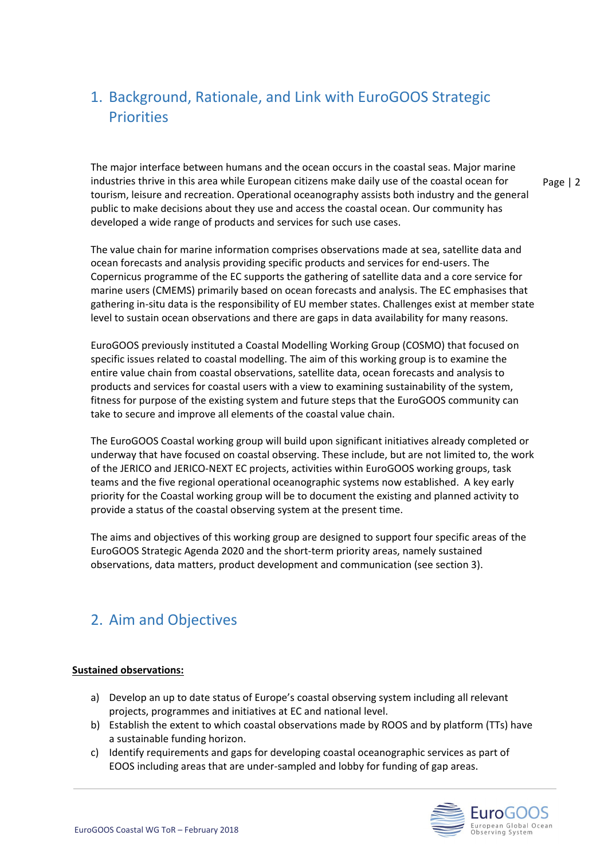# <span id="page-1-0"></span>1. Background, Rationale, and Link with EuroGOOS Strategic **Priorities**

Page | 2 The major interface between humans and the ocean occurs in the coastal seas. Major marine industries thrive in this area while European citizens make daily use of the coastal ocean for tourism, leisure and recreation. Operational oceanography assists both industry and the general public to make decisions about they use and access the coastal ocean. Our community has developed a wide range of products and services for such use cases.

The value chain for marine information comprises observations made at sea, satellite data and ocean forecasts and analysis providing specific products and services for end-users. The Copernicus programme of the EC supports the gathering of satellite data and a core service for marine users (CMEMS) primarily based on ocean forecasts and analysis. The EC emphasises that gathering in-situ data is the responsibility of EU member states. Challenges exist at member state level to sustain ocean observations and there are gaps in data availability for many reasons.

EuroGOOS previously instituted a Coastal Modelling Working Group (COSMO) that focused on specific issues related to coastal modelling. The aim of this working group is to examine the entire value chain from coastal observations, satellite data, ocean forecasts and analysis to products and services for coastal users with a view to examining sustainability of the system, fitness for purpose of the existing system and future steps that the EuroGOOS community can take to secure and improve all elements of the coastal value chain.

The EuroGOOS Coastal working group will build upon significant initiatives already completed or underway that have focused on coastal observing. These include, but are not limited to, the work of the JERICO and JERICO-NEXT EC projects, activities within EuroGOOS working groups, task teams and the five regional operational oceanographic systems now established. A key early priority for the Coastal working group will be to document the existing and planned activity to provide a status of the coastal observing system at the present time.

The aims and objectives of this working group are designed to support four specific areas of the EuroGOOS Strategic Agenda 2020 and the short-term priority areas, namely sustained observations, data matters, product development and communication (see section 3).

## <span id="page-1-1"></span>2. Aim and Objectives

#### **Sustained observations:**

- a) Develop an up to date status of Europe's coastal observing system including all relevant projects, programmes and initiatives at EC and national level.
- b) Establish the extent to which coastal observations made by ROOS and by platform (TTs) have a sustainable funding horizon.
- c) Identify requirements and gaps for developing coastal oceanographic services as part of EOOS including areas that are under-sampled and lobby for funding of gap areas.

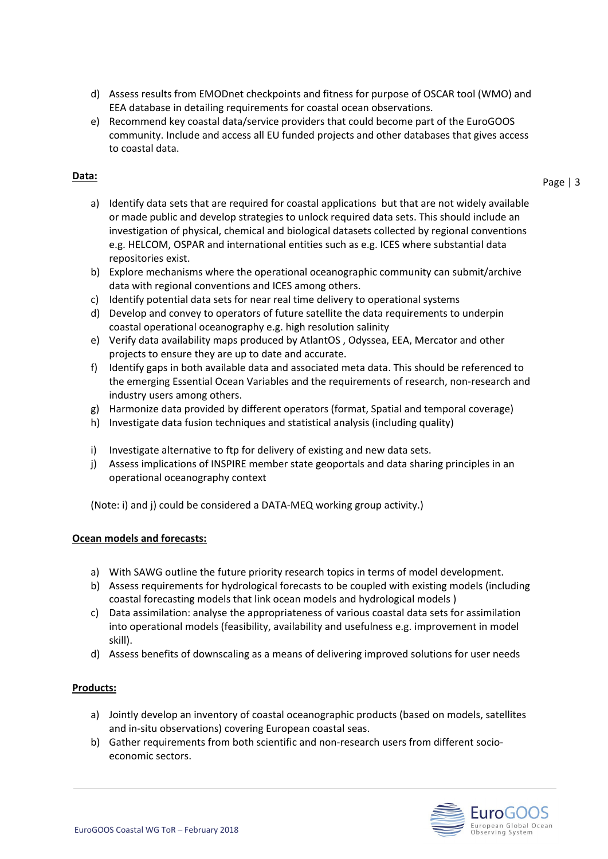- d) Assess results from EMODnet checkpoints and fitness for purpose of OSCAR tool (WMO) and EEA database in detailing requirements for coastal ocean observations.
- e) Recommend key coastal data/service providers that could become part of the EuroGOOS community. Include and access all EU funded projects and other databases that gives access to coastal data.

#### **Data:**

Page | 3

- a) Identify data sets that are required for coastal applications but that are not widely available or made public and develop strategies to unlock required data sets. This should include an investigation of physical, chemical and biological datasets collected by regional conventions e.g. HELCOM, OSPAR and international entities such as e.g. ICES where substantial data repositories exist.
- b) Explore mechanisms where the operational oceanographic community can submit/archive data with regional conventions and ICES among others.
- c) Identify potential data sets for near real time delivery to operational systems
- d) Develop and convey to operators of future satellite the data requirements to underpin coastal operational oceanography e.g. high resolution salinity
- e) Verify data availability maps produced by AtlantOS , Odyssea, EEA, Mercator and other projects to ensure they are up to date and accurate.
- f) Identify gaps in both available data and associated meta data. This should be referenced to the emerging Essential Ocean Variables and the requirements of research, non-research and industry users among others.
- g) Harmonize data provided by different operators (format, Spatial and temporal coverage)
- h) Investigate data fusion techniques and statistical analysis (including quality)
- i) Investigate alternative to ftp for delivery of existing and new data sets.
- j) Assess implications of INSPIRE member state geoportals and data sharing principles in an operational oceanography context

(Note: i) and j) could be considered a DATA-MEQ working group activity.)

#### **Ocean models and forecasts:**

- a) With SAWG outline the future priority research topics in terms of model development.
- b) Assess requirements for hydrological forecasts to be coupled with existing models (including coastal forecasting models that link ocean models and hydrological models )
- c) Data assimilation: analyse the appropriateness of various coastal data sets for assimilation into operational models (feasibility, availability and usefulness e.g. improvement in model skill).
- d) Assess benefits of downscaling as a means of delivering improved solutions for user needs

#### **Products:**

- a) Jointly develop an inventory of coastal oceanographic products (based on models, satellites and in-situ observations) covering European coastal seas.
- b) Gather requirements from both scientific and non-research users from different socioeconomic sectors.

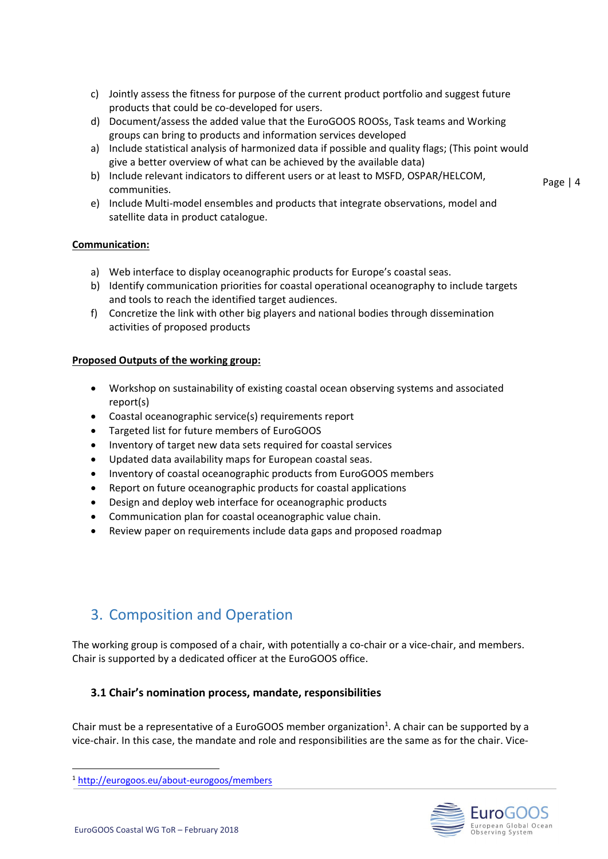- c) Jointly assess the fitness for purpose of the current product portfolio and suggest future products that could be co-developed for users.
- d) Document/assess the added value that the EuroGOOS ROOSs, Task teams and Working groups can bring to products and information services developed
- a) Include statistical analysis of harmonized data if possible and quality flags; (This point would give a better overview of what can be achieved by the available data)
- b) Include relevant indicators to different users or at least to MSFD, OSPAR/HELCOM, communities.
- e) Include Multi-model ensembles and products that integrate observations, model and satellite data in product catalogue.

#### **Communication:**

- a) Web interface to display oceanographic products for Europe's coastal seas.
- b) Identify communication priorities for coastal operational oceanography to include targets and tools to reach the identified target audiences.
- f) Concretize the link with other big players and national bodies through dissemination activities of proposed products

#### **Proposed Outputs of the working group:**

- Workshop on sustainability of existing coastal ocean observing systems and associated report(s)
- Coastal oceanographic service(s) requirements report
- Targeted list for future members of EuroGOOS
- Inventory of target new data sets required for coastal services
- Updated data availability maps for European coastal seas.
- Inventory of coastal oceanographic products from EuroGOOS members
- Report on future oceanographic products for coastal applications
- Design and deploy web interface for oceanographic products
- Communication plan for coastal oceanographic value chain.
- Review paper on requirements include data gaps and proposed roadmap

## <span id="page-3-0"></span>3. Composition and Operation

The working group is composed of a chair, with potentially a co-chair or a vice-chair, and members. Chair is supported by a dedicated officer at the EuroGOOS office.

#### <span id="page-3-1"></span>**3.1 Chair's nomination process, mandate, responsibilities**

Chair must be a representative of a EuroGOOS member organization<sup>1</sup>. A chair can be supported by a vice-chair. In this case, the mandate and role and responsibilities are the same as for the chair. Vice-



Page | 4

<sup>1</sup> <http://eurogoos.eu/about-eurogoos/members>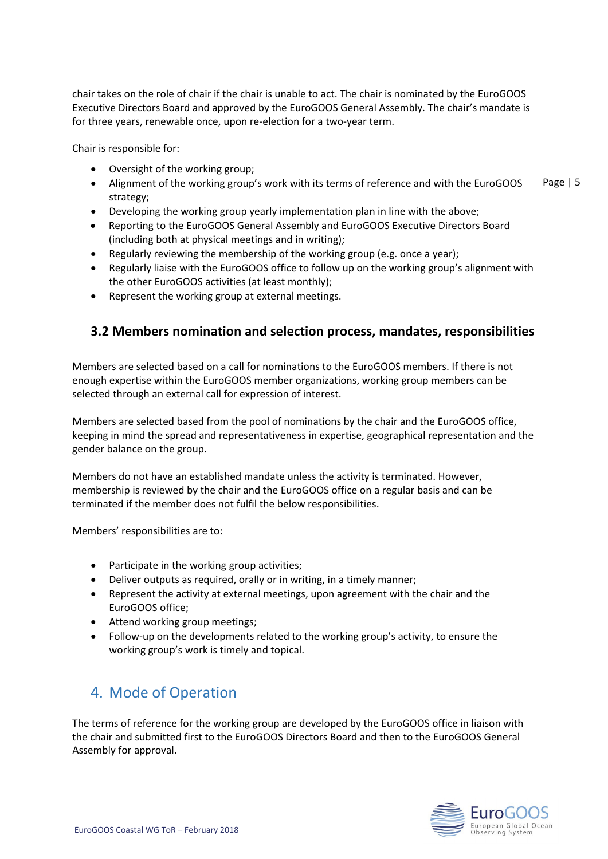chair takes on the role of chair if the chair is unable to act. The chair is nominated by the EuroGOOS Executive Directors Board and approved by the EuroGOOS General Assembly. The chair's mandate is for three years, renewable once, upon re-election for a two-year term.

Chair is responsible for:

- Oversight of the working group;
- Page | 5 • Alignment of the working group's work with its terms of reference and with the EuroGOOS strategy;
- Developing the working group yearly implementation plan in line with the above;
- Reporting to the EuroGOOS General Assembly and EuroGOOS Executive Directors Board (including both at physical meetings and in writing);
- Regularly reviewing the membership of the working group (e.g. once a year);
- Regularly liaise with the EuroGOOS office to follow up on the working group's alignment with the other EuroGOOS activities (at least monthly);
- Represent the working group at external meetings.

### <span id="page-4-0"></span>**3.2 Members nomination and selection process, mandates, responsibilities**

Members are selected based on a call for nominations to the EuroGOOS members. If there is not enough expertise within the EuroGOOS member organizations, working group members can be selected through an external call for expression of interest.

Members are selected based from the pool of nominations by the chair and the EuroGOOS office, keeping in mind the spread and representativeness in expertise, geographical representation and the gender balance on the group.

Members do not have an established mandate unless the activity is terminated. However, membership is reviewed by the chair and the EuroGOOS office on a regular basis and can be terminated if the member does not fulfil the below responsibilities.

Members' responsibilities are to:

- Participate in the working group activities;
- Deliver outputs as required, orally or in writing, in a timely manner;
- Represent the activity at external meetings, upon agreement with the chair and the EuroGOOS office;
- Attend working group meetings;
- Follow-up on the developments related to the working group's activity, to ensure the working group's work is timely and topical.

## <span id="page-4-1"></span>4. Mode of Operation

The terms of reference for the working group are developed by the EuroGOOS office in liaison with the chair and submitted first to the EuroGOOS Directors Board and then to the EuroGOOS General Assembly for approval.